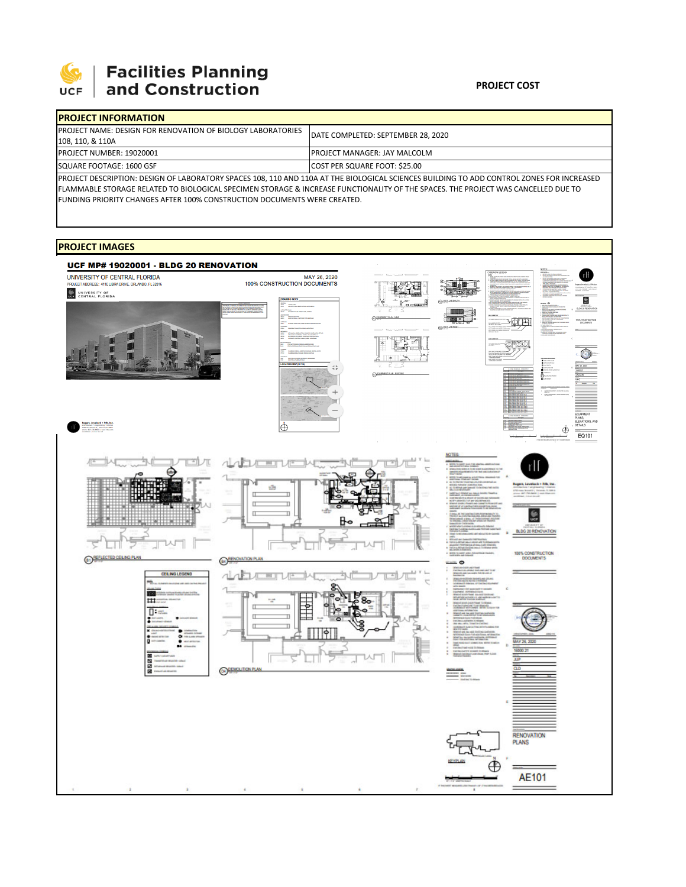

# **Facilities Planning**<br>and Construction

### **PROJECT COST**

| <b>IPROJECT INFORMATION</b>                                                                                                               |                                      |  |  |  |
|-------------------------------------------------------------------------------------------------------------------------------------------|--------------------------------------|--|--|--|
| <b>IPROJECT NAME: DESIGN FOR RENOVATION OF BIOLOGY LABORATORIES</b>                                                                       | DATE COMPLETED: SEPTEMBER 28, 2020   |  |  |  |
| 108, 110, & 110A                                                                                                                          |                                      |  |  |  |
| <b>PROJECT NUMBER: 19020001</b>                                                                                                           | <b>IPROJECT MANAGER: JAY MALCOLM</b> |  |  |  |
| SQUARE FOOTAGE: 1600 GSF                                                                                                                  | COST PER SQUARE FOOT: \$25.00        |  |  |  |
| PROJECT DESCRIPTION: DESIGN OF LABORATORY SPACES 108, 110 AND 110A AT THE BIOLOGICAL SCIENCES BUILDING TO ADD CONTROL ZONES FOR INCREASED |                                      |  |  |  |

FLAMMABLE STORAGE RELATED TO BIOLOGICAL SPECIMEN STORAGE & INCREASE FUNCTIONALITY OF THE SPACES. THE PROJECT WAS CANCELLED DUE TO FUNDING PRIORITY CHANGES AFTER 100% CONSTRUCTION DOCUMENTS WERE CREATED.

## **PROJECT IMAGES**